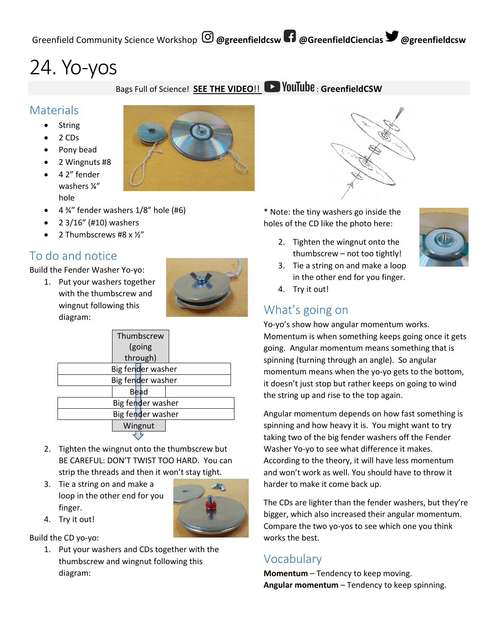# 24. Yo-yos

Bags Full of Science! **SEE THE VIDEO!!** YouTube: GreenfieldCSW

### **Materials**

- String
- 2 CDs
- Pony bead
- 2 Wingnuts #8
- 4 2" fender washers ¼" hole
- $\bullet$  4 %" fender washers 1/8" hole (#6)
- 2 3/16" (#10) washers
- 2 Thumbscrews #8 x ½"

## To do and notice

Build the Fender Washer Yo-yo:

1. Put your washers together with the thumbscrew and wingnut following this diagram:



|                   | Thumbscrew<br>(going<br>through) |                   |  |  |
|-------------------|----------------------------------|-------------------|--|--|
|                   |                                  | Big fender washer |  |  |
|                   |                                  | Big fender washer |  |  |
|                   |                                  | <b>Bead</b>       |  |  |
|                   |                                  | Big fender washer |  |  |
| Big fender washer |                                  |                   |  |  |
|                   |                                  | Wingnut           |  |  |

- 2. Tighten the wingnut onto the thumbscrew but BE CAREFUL: DON'T TWIST TOO HARD. You can strip the threads and then it won't stay tight.
- 3. Tie a string on and make a loop in the other end for you finger.



4. Try it out!

Build the CD yo-yo:

1. Put your washers and CDs together with the thumbscrew and wingnut following this diagram:



2. Tighten the wingnut onto the thumbscrew – not too tightly!



- 3. Tie a string on and make a loop in the other end for you finger.
- 4. Try it out!

## What's going on

Yo-yo's show how angular momentum works. Momentum is when something keeps going once it gets going. Angular momentum means something that is spinning (turning through an angle). So angular momentum means when the yo-yo gets to the bottom, it doesn't just stop but rather keeps on going to wind the string up and rise to the top again.

Angular momentum depends on how fast something is spinning and how heavy it is. You might want to try taking two of the big fender washers off the Fender Washer Yo-yo to see what difference it makes. According to the theory, it will have less momentum and won't work as well. You should have to throw it harder to make it come back up.

The CDs are lighter than the fender washers, but they're bigger, which also increased their angular momentum. Compare the two yo-yos to see which one you think works the best.

### Vocabulary

**Momentum** – Tendency to keep moving. **Angular momentum** – Tendency to keep spinning.